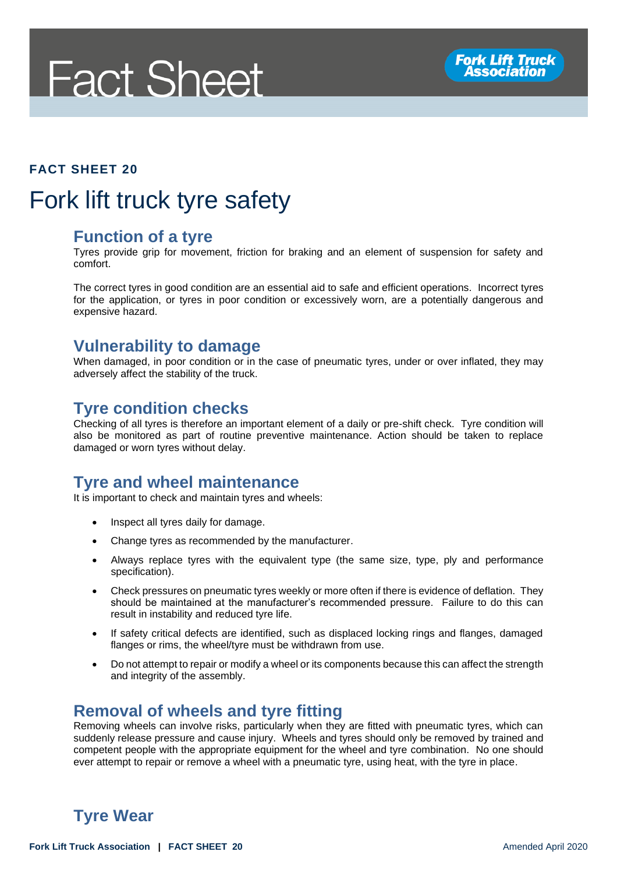# **Fact Sheet**



#### **FACT SHEET 20**

### Fork lift truck tyre safety

#### **Function of a tyre**

Tyres provide grip for movement, friction for braking and an element of suspension for safety and comfort.

The correct tyres in good condition are an essential aid to safe and efficient operations. Incorrect tyres for the application, or tyres in poor condition or excessively worn, are a potentially dangerous and expensive hazard.

#### **Vulnerability to damage**

When damaged, in poor condition or in the case of pneumatic tyres, under or over inflated, they may adversely affect the stability of the truck.

#### **Tyre condition checks**

Checking of all tyres is therefore an important element of a daily or pre-shift check. Tyre condition will also be monitored as part of routine preventive maintenance. Action should be taken to replace damaged or worn tyres without delay.

#### **Tyre and wheel maintenance**

It is important to check and maintain tyres and wheels:

- Inspect all tyres daily for damage.
- Change tyres as recommended by the manufacturer.
- Always replace tyres with the equivalent type (the same size, type, ply and performance specification).
- Check pressures on pneumatic tyres weekly or more often if there is evidence of deflation. They should be maintained at the manufacturer's recommended pressure. Failure to do this can result in instability and reduced tyre life.
- If safety critical defects are identified, such as displaced locking rings and flanges, damaged flanges or rims, the wheel/tyre must be withdrawn from use.
- Do not attempt to repair or modify a wheel or its components because this can affect the strength and integrity of the assembly.

#### **Removal of wheels and tyre fitting**

Removing wheels can involve risks, particularly when they are fitted with pneumatic tyres, which can suddenly release pressure and cause injury. Wheels and tyres should only be removed by trained and competent people with the appropriate equipment for the wheel and tyre combination. No one should ever attempt to repair or remove a wheel with a pneumatic tyre, using heat, with the tyre in place.

#### **Tyre Wear**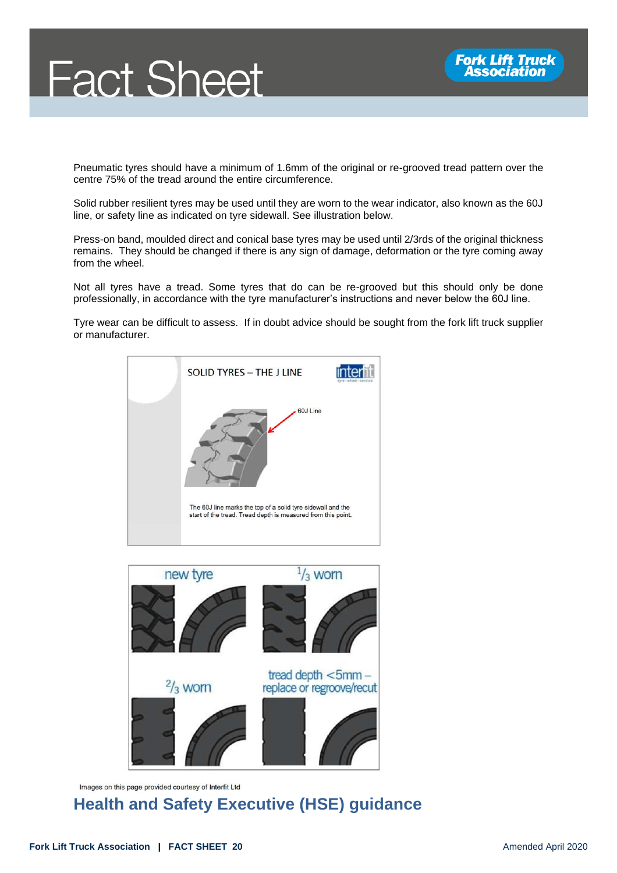



Pneumatic tyres should have a minimum of 1.6mm of the original or re-grooved tread pattern over the centre 75% of the tread around the entire circumference.

Solid rubber resilient tyres may be used until they are worn to the wear indicator, also known as the 60J line, or safety line as indicated on tyre sidewall. See illustration below.

Press-on band, moulded direct and conical base tyres may be used until 2/3rds of the original thickness remains. They should be changed if there is any sign of damage, deformation or the tyre coming away from the wheel.

Not all tyres have a tread. Some tyres that do can be re-grooved but this should only be done professionally, in accordance with the tyre manufacturer's instructions and never below the 60J line.

Tyre wear can be difficult to assess. If in doubt advice should be sought from the fork lift truck supplier or manufacturer.





Images on this page provided courtesy of Interfit Ltd

#### **Health and Safety Executive (HSE) guidance**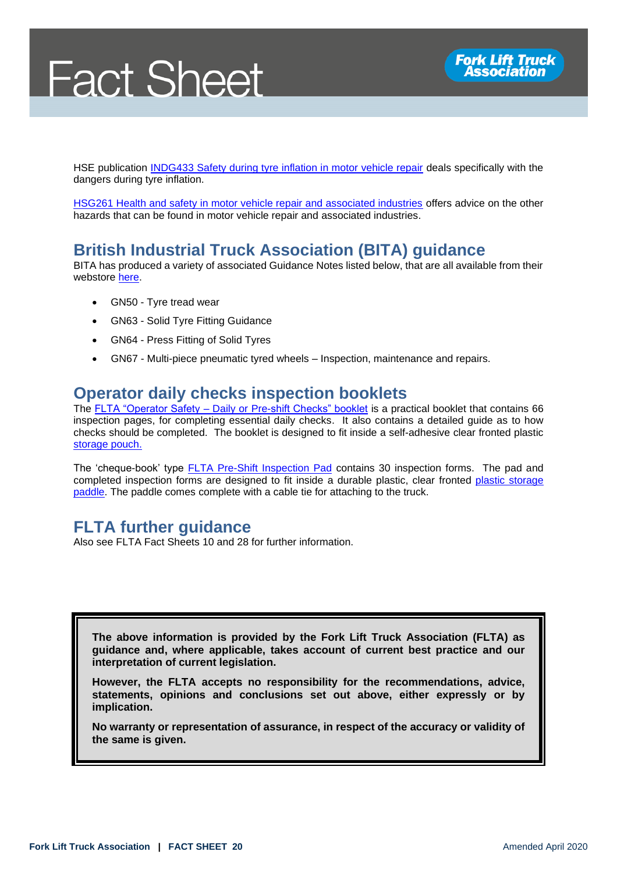## **Fact Sheet**



HSE publication [INDG433 Safety during tyre inflation in motor vehicle repair](https://www.hse.gov.uk/pubns/indg433.pdf) deals specifically with the dangers during tyre inflation.

[HSG261 Health and safety in motor vehicle repair and associated industries](https://www.hse.gov.uk/pubns/priced/hsg261.pdf) offers advice on the other hazards that can be found in motor vehicle repair and associated industries.

#### **British Industrial Truck Association (BITA) guidance**

BITA has produced a variety of associated Guidance Notes listed below, that are all available from their webstore [here.](https://www.bita.org.uk/product-category/guidance-notes/)

- GN50 Tyre tread wear
- GN63 Solid Tyre Fitting Guidance
- GN64 Press Fitting of Solid Tyres
- GN67 Multi-piece pneumatic tyred wheels Inspection, maintenance and repairs.

#### **Operator daily checks inspection booklets**

The FLTA "Operator Safety – [Daily or Pre-shift Checks" booklet](https://fork-truck.org.uk/product/daily-checks/) is a practical booklet that contains 66 inspection pages, for completing essential daily checks. It also contains a detailed guide as to how checks should be completed. The booklet is designed to fit inside a self-adhesive clear fronted plastic [storage pouch.](https://fork-truck.org.uk/product/plastic-pouch/)

The 'cheque-book' type **FLTA Pre-Shift Inspection Pad contains 30 inspection forms.** The pad and completed inspection forms are designed to fit inside a durable plastic, clear fronted [plastic storage](https://fork-truck.org.uk/product/safe-truck-pre-shift-inspection-paddles/)  [paddle.](https://fork-truck.org.uk/product/safe-truck-pre-shift-inspection-paddles/) The paddle comes complete with a cable tie for attaching to the truck.

#### **FLTA further guidance**

Also see FLTA Fact Sheets 10 and 28 for further information.

**The above information is provided by the Fork Lift Truck Association (FLTA) as guidance and, where applicable, takes account of current best practice and our interpretation of current legislation.** 

**However, the FLTA accepts no responsibility for the recommendations, advice, statements, opinions and conclusions set out above, either expressly or by implication.**

**No warranty or representation of assurance, in respect of the accuracy or validity of the same is given.**